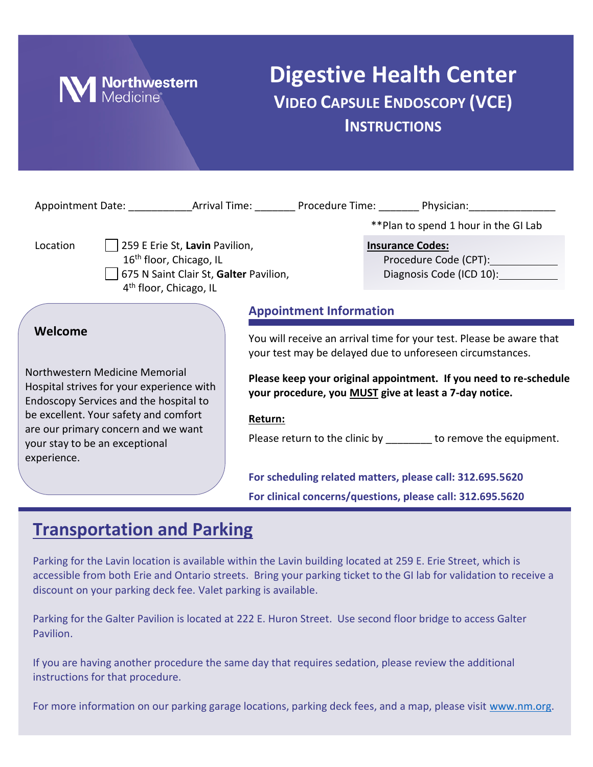

## **Digestive Health Center VIDEO CAPSULE ENDOSCOPY (VCE) INSTRUCTIONS**

| Appointment Date: _______________Arrival Time: ___________Procedure Time: __________Physician: _______________                                                    |                                                                                                                                   |                                                                              |
|-------------------------------------------------------------------------------------------------------------------------------------------------------------------|-----------------------------------------------------------------------------------------------------------------------------------|------------------------------------------------------------------------------|
|                                                                                                                                                                   |                                                                                                                                   | **Plan to spend 1 hour in the GI Lab                                         |
| Location<br>259 E Erie St, Lavin Pavilion,<br>16 <sup>th</sup> floor, Chicago, IL<br>675 N Saint Clair St, Galter Pavilion,<br>4 <sup>th</sup> floor, Chicago, IL |                                                                                                                                   | <b>Insurance Codes:</b><br>Procedure Code (CPT):<br>Diagnosis Code (ICD 10): |
|                                                                                                                                                                   | <b>Appointment Information</b>                                                                                                    |                                                                              |
| Welcome                                                                                                                                                           | You will receive an arrival time for your test. Please be aware that<br>your test may be delayed due to unforeseen circumstances. |                                                                              |
| Northwestern Medicine Memorial<br>Hospital strives for your experience with<br>Endoscopy Services and the hospital to                                             | Please keep your original appointment. If you need to re-schedule<br>your procedure, you MUST give at least a 7-day notice.       |                                                                              |
| be excellent. Your safety and comfort                                                                                                                             | Return:                                                                                                                           |                                                                              |
| are our primary concern and we want<br>your stay to be an exceptional<br>experience.                                                                              |                                                                                                                                   | Please return to the clinic by ________ to remove the equipment.             |
|                                                                                                                                                                   |                                                                                                                                   | For scheduling related matters, please call: 312.695.5620                    |
|                                                                                                                                                                   |                                                                                                                                   | For clinical concerns/questions, please call: 312.695.5620                   |

### **Transportation and Parking**

Parking for the Lavin location is available within the Lavin building located at 259 E. Erie Street, which is accessible from both Erie and Ontario streets. Bring your parking ticket to the GI lab for validation to receive a discount on your parking deck fee. Valet parking is available.

Parking for the Galter Pavilion is located at 222 E. Huron Street. Use second floor bridge to access Galter Pavilion.

If you are having another procedure the same day that requires sedation, please review the additional instructions for that procedure.

For more information on our parking garage locations, parking deck fees, and a map, please visit [www.nm.org.](http://www.nm.org/)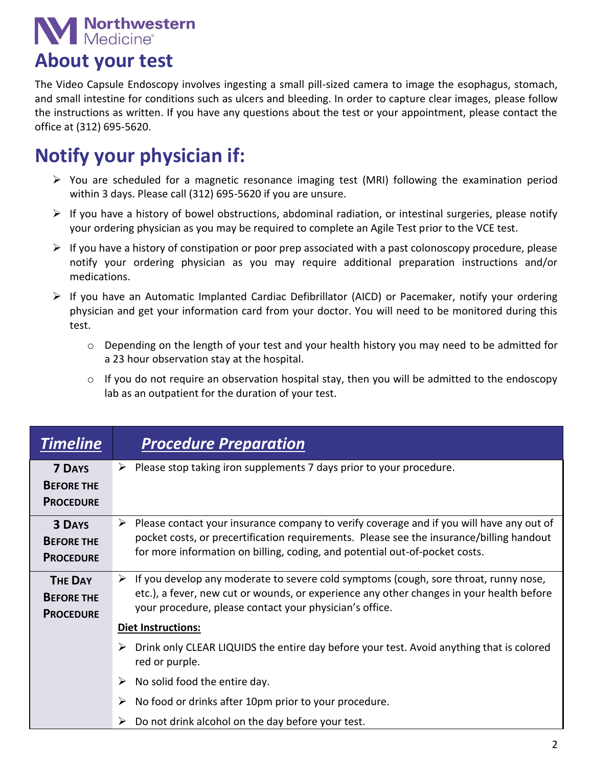# **Northwestern**<br>Medicine®

## **About your test**

The Video Capsule Endoscopy involves ingesting a small pill-sized camera to image the esophagus, stomach, and small intestine for conditions such as ulcers and bleeding. In order to capture clear images, please follow the instructions as written. If you have any questions about the test or your appointment, please contact the office at (312) 695-5620.

# **Notify your physician if:**

- $\triangleright$  You are scheduled for a magnetic resonance imaging test (MRI) following the examination period within 3 days. Please call (312) 695-5620 if you are unsure.
- $\triangleright$  If you have a history of bowel obstructions, abdominal radiation, or intestinal surgeries, please notify your ordering physician as you may be required to complete an Agile Test prior to the VCE test.
- $\triangleright$  If you have a history of constipation or poor prep associated with a past colonoscopy procedure, please notify your ordering physician as you may require additional preparation instructions and/or medications.
- $\triangleright$  If you have an Automatic Implanted Cardiac Defibrillator (AICD) or Pacemaker, notify your ordering physician and get your information card from your doctor. You will need to be monitored during this test.
	- $\circ$  Depending on the length of your test and your health history you may need to be admitted for a 23 hour observation stay at the hospital.
	- $\circ$  If you do not require an observation hospital stay, then you will be admitted to the endoscopy lab as an outpatient for the duration of your test.

| <b>Timeline</b>                                         | <b>Procedure Preparation</b>                                                                                                                                                                                                                                             |
|---------------------------------------------------------|--------------------------------------------------------------------------------------------------------------------------------------------------------------------------------------------------------------------------------------------------------------------------|
| <b>7 DAYS</b><br><b>BEFORE THE</b><br><b>PROCEDURE</b>  | Please stop taking iron supplements 7 days prior to your procedure.<br>➤                                                                                                                                                                                                 |
| <b>3 DAYS</b><br><b>BEFORE THE</b><br><b>PROCEDURE</b>  | Please contact your insurance company to verify coverage and if you will have any out of<br>➤<br>pocket costs, or precertification requirements. Please see the insurance/billing handout<br>for more information on billing, coding, and potential out-of-pocket costs. |
| <b>THE DAY</b><br><b>BEFORE THE</b><br><b>PROCEDURE</b> | If you develop any moderate to severe cold symptoms (cough, sore throat, runny nose,<br>➤<br>etc.), a fever, new cut or wounds, or experience any other changes in your health before<br>your procedure, please contact your physician's office.                         |
|                                                         | <b>Diet Instructions:</b>                                                                                                                                                                                                                                                |
|                                                         | Drink only CLEAR LIQUIDS the entire day before your test. Avoid anything that is colored<br>➤<br>red or purple.                                                                                                                                                          |
|                                                         | No solid food the entire day.<br>➤                                                                                                                                                                                                                                       |
|                                                         | No food or drinks after 10pm prior to your procedure.<br>➤                                                                                                                                                                                                               |
|                                                         | Do not drink alcohol on the day before your test.                                                                                                                                                                                                                        |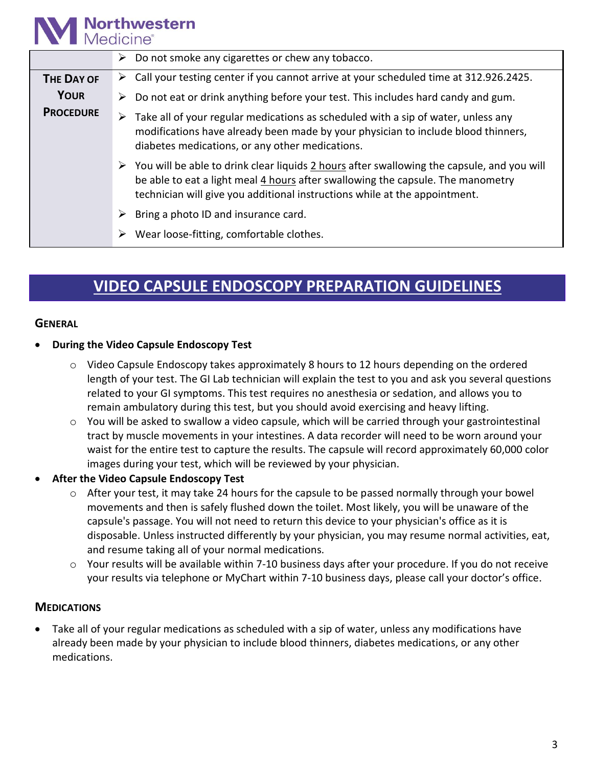#### **Northwestern** Medicine®

| $\triangleright$ Do not smoke any cigarettes or chew any tobacco.                                                                                                                                                                                                            |
|------------------------------------------------------------------------------------------------------------------------------------------------------------------------------------------------------------------------------------------------------------------------------|
| $\triangleright$ Call your testing center if you cannot arrive at your scheduled time at 312.926.2425.                                                                                                                                                                       |
| Do not eat or drink anything before your test. This includes hard candy and gum.<br>➤                                                                                                                                                                                        |
| Take all of your regular medications as scheduled with a sip of water, unless any<br>modifications have already been made by your physician to include blood thinners,<br>diabetes medications, or any other medications.                                                    |
| $\triangleright$ You will be able to drink clear liquids 2 hours after swallowing the capsule, and you will<br>be able to eat a light meal 4 hours after swallowing the capsule. The manometry<br>technician will give you additional instructions while at the appointment. |
| Bring a photo ID and insurance card.                                                                                                                                                                                                                                         |
| Wear loose-fitting, comfortable clothes.                                                                                                                                                                                                                                     |
|                                                                                                                                                                                                                                                                              |

## **VIDEO CAPSULE ENDOSCOPY PREPARATION GUIDELINES**

#### **GENERAL**

#### **During the Video Capsule Endoscopy Test**

- $\circ$  Video Capsule Endoscopy takes approximately 8 hours to 12 hours depending on the ordered length of your test. The GI Lab technician will explain the test to you and ask you several questions related to your GI symptoms. This test requires no anesthesia or sedation, and allows you to remain ambulatory during this test, but you should avoid exercising and heavy lifting.
- $\circ$  You will be asked to swallow a video capsule, which will be carried through your gastrointestinal tract by muscle movements in your intestines. A data recorder will need to be worn around your waist for the entire test to capture the results. The capsule will record approximately 60,000 color images during your test, which will be reviewed by your physician.
- **After the Video Capsule Endoscopy Test**
	- $\circ$  After your test, it may take 24 hours for the capsule to be passed normally through your bowel movements and then is safely flushed down the toilet. Most likely, you will be unaware of the capsule's passage. You will not need to return this device to your physician's office as it is disposable. Unless instructed differently by your physician, you may resume normal activities, eat, and resume taking all of your normal medications.
	- $\circ$  Your results will be available within 7-10 business days after your procedure. If you do not receive your results via telephone or MyChart within 7-10 business days, please call your doctor's office.

#### **MEDICATIONS**

 Take all of your regular medications as scheduled with a sip of water, unless any modifications have already been made by your physician to include blood thinners, diabetes medications, or any other medications.